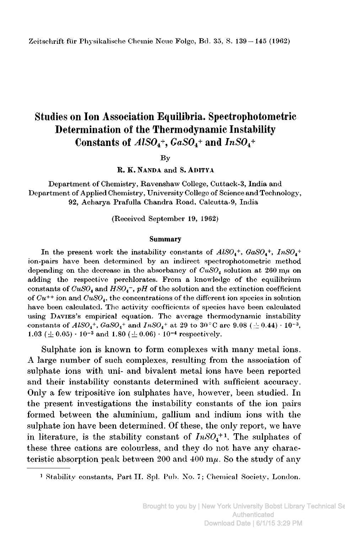# Studies on Ion Association Equilibria. Spectrophotometric Determination of the Thermodynamic Instability Constants of  $AISO<sub>4</sub>$ <sup>+</sup>,  $GaSO<sub>4</sub>$ <sup>+</sup> and  $InSO<sub>4</sub>$ <sup>+</sup>

By

R. K. Nanda and S. aditya

Department of Chemistry, Ravenshaw College, Cuttack-3, India and Department of Applied Chemistry, University College of Science and Technology, 92, Acharya Prafulla Chandra Road, Calcutta-9, India

(Received September 19, 1962)

#### Summary

In the present work the instability constants of  $AISO_4^+$ ,  $GaSO_4^+$ ,  $InSO_4^+$ ion-pairs have been determined by an indirect spectrophotometric method depending on the decrease in the absorbancy of  $CuSO<sub>4</sub>$  solution at 260 m $\mu$  on adding the respective perchlorates. From a knowledge of the equilibrium constants of  $CuSO_4$  and  $HSO_4^-$ ,  $pH$  of the solution and the extinction coefficient of  $Cu^{++}$  ion and  $CuSO_4$ , the concentrations of the different ion species in solution have been calculated. The activity coefficients of species have been calculated using Davies's empirical equation. The average thermodynamic instability constants of  $ALSO_4^+$ ,  $GaSO_4^+$  and  $InSO_4^+$  at 29 to 30 °C are 9.08 (  $\pm$  0.44)  $\cdot$  10<sup>-3</sup>,  $1.03~(\pm~0.05)\cdot 10^{-3}$  and  $1.80~(\pm~0.06)\cdot 10^{-4}$  respectively.

Sulphate ion is known to form complexes with many metal ions. A large number of such complexes, resulting from the association of sulphate ions with uni- and bivalent metal ions have been reported and their instability constants determined with sufficient accuracy. Only <sup>a</sup> few tripositive ion sulphates have, however, been studied. In the present investigations the instability constants of the ion pairs formed between the aluminium, gallium and indium ions with the sulphate ion have been determined. Of these, the only report, we have in literature, is the stability constant of  $InSO<sub>4</sub><sup>+1</sup>$ . The sulphates of these three cations are colourless, and they do not have any characteristic absorption peak between 200 and 400  $m\mu$ . So the study of any

<sup>&</sup>lt;sup>1</sup> Stability constants, Part II. Spl. Pub. No. 7; Chemical Society, London.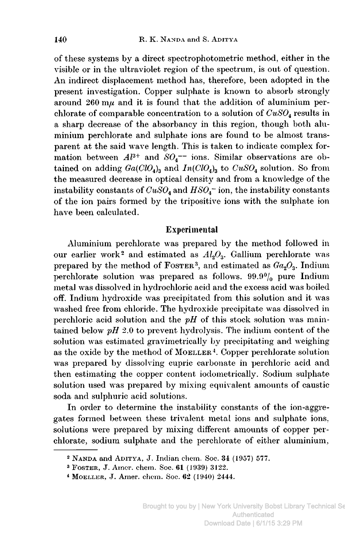of these systems by <sup>a</sup> direct spectrophotometric method, either in the visible or in the ultraviolet region of the spectrum, is out of question. An indirect displacement method has, therefore, been adopted in the present investigation. Copper sulphate is known to absorb strongly around  $260 \text{ m}\mu$  and it is found that the addition of aluminium perchlorate of comparable concentration to a solution of  $CuSO<sub>4</sub>$  results in <sup>a</sup> sharp decrease of the absorbancy in this region, though both aluminium Perchlorate and sulphate ions are found to be almost transparent at the said wave length. This is taken to indicate complex formation between  $Al^{3+}$  and  $SO_4^{--}$  ions. Similar observations are obtained on adding  $Ga(CIO<sub>4</sub>)<sub>3</sub>$  and  $In(CIO<sub>4</sub>)<sub>3</sub>$  to  $CuSO<sub>4</sub>$  solution. So from the measured decrease in optical density and from <sup>a</sup> knowledge of the instability constants of  $CuSO_4$  and  $HSO_4^-$  ion, the instability constants of the ion pairs formed by the tripositive ions with the sulphate ion have been calculated.

# Experimental

Aluminium Perchlorate was prepared by the method followed in our earlier work<sup>2</sup> and estimated as  $Al_2O_3$ . Gallium perchlorate was prepared by the method of FOSTER<sup>3</sup>, and estimated as  $Ga<sub>2</sub>O<sub>3</sub>$ . Indium perchlorate solution was prepared as follows.  $99.9\%$  pure Indium metal was dissolved in hydrochloric acid and the excess acid was boiled off. Indium hydroxide was precipitated from this solution and it was washed free from chloride. The hydroxide precipitate was dissolved in perchloric acid solution and the  $pH$  of this stock solution was maintained below  $pH$  2.0 to prevent hydrolysis. The indium content of the solution was estimated gravimetrically by precipitating and weighing as the oxide by the method of MOELLER<sup>4</sup>. Copper perchlorate solution was prepared by dissolving cupric carbonate in perchloric acid and then estimating the copper content iodometrically. Sodium sulphate solution used was prepared by mixing equivalent amounts of caustic soda and sulphuric acid solutions.

In order to determine the instability constants of the ion-aggregates formed between these trivalent metal ions and sulphate ions, solutions were prepared by mixing different amounts of copper perchlorate, sodium sulphate and the perchlorate of either aluminium,

<sup>2</sup> Nanda and Aditya, J. Indian chem. Soc. 34 (1957) 577.

<sup>3</sup> Foster, J. Amer. chem. Soc. 61 (1939) 3122.

<sup>&</sup>lt;sup>4</sup> MOELLER, J. Amer. chem. Soc. 62 (1940) 2444.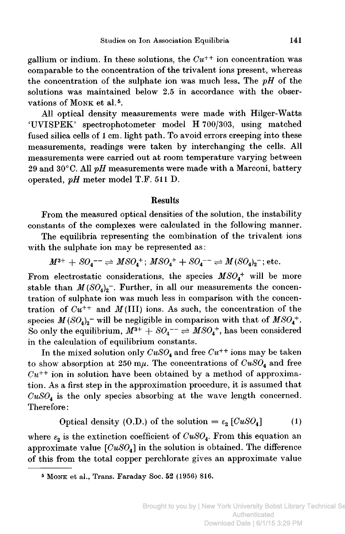gallium or indium. In these solutions, the  $Cu^{++}$  ion concentration was comparable to the concentration of the trivalent ions present, whereas the concentration of the sulphate ion was much less. The  $pH$  of the solutions was maintained below 2.5 in accordance with the observations of MONK et al.<sup>5</sup>.

All optical density measurements were made with Hilger-Watts 'UVISPEK' spectrophotometer model H 700/303, using matched fused silica cells of <sup>1</sup> cm. light path. To avoid errors creeping into these measurements, readings were taken by interchanging the cells. All measurements were carried out at room temperature varying between 29 and 30 $^{\circ}$ C. All pH measurements were made with a Marconi, battery operated, pH meter model T.F. <sup>511</sup> D.

## Results

From the measured optical densities of the solution, the instability constants of the complexes were calculated in the following manner.

The equilibria representing the combination of the trivalent ions with the sulphate ion may be represented as:

$$
M^{3+} + SO_4^{--} \rightleftharpoons MSO_4^+; MSO_4^+ + SO_4^{--} \rightleftharpoons M(SO_4)_2^-; etc.
$$

From electrostatic considerations, the species  $MSO<sub>4</sub><sup>+</sup>$  will be more stable than  $M(SO_4)_2$ <sup>-</sup>. Further, in all our measurements the concentration of sulphate ion was much less in comparison with the concentration of  $Cu^{++}$  and  $M(III)$  ions. As such, the concentration of the species  $M(SO_4)_2$  will be negligible in comparison with that of  $MSO_4^+$ . So only the equilibrium,  $M^{3+} + SO_4^{--} \rightleftharpoons MSO_4^+$ , has been considered in the calculation of equilibrium constants.

In the mixed solution only  $CuSO_4$  and free  $Cu^{++}$  ions may be taken to show absorption at 250  $m\mu$ . The concentrations of  $CuSO_4$  and free  $Cu^{++}$  ion in solution have been obtained by a method of approximation. As <sup>a</sup> first step in the approximation procedure, it is assumed that  $CuSO<sub>4</sub>$  is the only species absorbing at the wave length concerned. Therefore :

Optical density (O.D.) of the solution = 
$$
\varepsilon_2 [CuSO_4]
$$
 (1)

where  $\varepsilon_2$  is the extinction coefficient of  $CuSO_4$ . From this equation an approximate value  $[CuSO_4]$  in the solution is obtained. The difference of this from the total copper Perchlorate gives an approximate value

<sup>5</sup> Monk et al., Trans. Faraday Soc. 52 (1956) 816.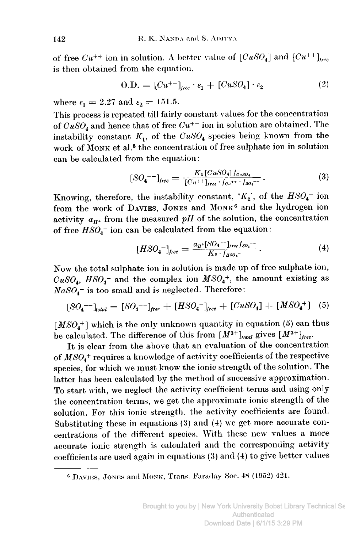of free  $Cu^{++}$  ion in solution. A better value of  $[CuSO_4]$  and  $[Cu^{++}]_{tree}$ is then obtained from the equation,

$$
O.D. = [Cu^{++}]_{free} \cdot \varepsilon_1 + [CuSO_4] \cdot \varepsilon_2 \tag{2}
$$

where  $\varepsilon_1 = 2.27$  and  $\varepsilon_2 = 151.5$ .

This process is repeated till fairly constant values for the concentration of  $CuSO<sub>4</sub>$  and hence that of free  $Cu^{++}$  ion in solution are obtained. The instability constant  $K_1$ , of the  $CuSO_4$  species being known from the work of MONK et al.<sup>5</sup> the concentration of free sulphate ion in solution can be calculated from the equation:

$$
[SO_4^{-}^-]_{free} = \frac{K_1[CuSO_4]f_{cusO_4}}{[Cu^{++}]_{free} \cdot f_{c_n^{++}} \cdot f_{so_4^{--}}}. \tag{3}
$$

Knowing, therefore, the instability constant, ' $K_2$ ', of the  $HSO_4^-$  ion from the work of DAVIES, JONES and MONK<sup>6</sup> and the hydrogen ion activity  $a_{H^+}$  from the measured pH of the solution, the concentration of free  $HSO_4$ <sup>-</sup> ion can be calculated from the equation:

$$
[HSO_4^-]_{free} = \frac{a_{\pi}+[SO_4^-^-]_{free}f_{so_4^-}}{K_2 \cdot f_{\mu so_4^-}}.
$$
 (4)

Now the total sulphate ion in solution is made up of free sulphate ion,  $CuSO<sub>4</sub>$ ,  $HSO<sub>4</sub>$  and the complex ion  $MSO<sub>4</sub>$ <sup>+</sup>, the amount existing as  $NaSO<sub>4</sub>$  is too small and is neglected. Therefore:

$$
[SO_4^{--}]_{total} = [SO_4^{--}]_{free} + [HSO_4^{-}]_{free} + [CuSO_4] + [MSO_4^{+}]
$$
 (5)

 $[MSO<sub>4</sub><sup>+</sup>]$  which is the only unknown quantity in equation (5) can thus be calculated. The difference of this from  $[M^{3+}]_{total}$  gives  $[M^{3+}]_{free}$ .

It is clear from the above that an evaluation of the concentration of  $MSO<sub>4</sub>$ <sup>+</sup> requires a knowledge of activity coefficients of the respective species, for which we must know the ionic strength of the solution. The latter has been calculated by the method of successive approximation. To start with, we neglect the activity coefficient terms and using only the concentration terms, we get the approximate ionic strength of the solution. For this ionic strength, the activity coefficients are found. Substituting these in equations (3) and (4) we get more accurate concentrations of the different species. With these new values a more accurate ionic strength is calculated and the corresponding activity coefficients are used again in equations (3) and (4) to give better values

<sup>&</sup>lt;sup>6</sup> DAVIES, JONES and MONK, Trans. Faraday Soc. 48 (1952) 421.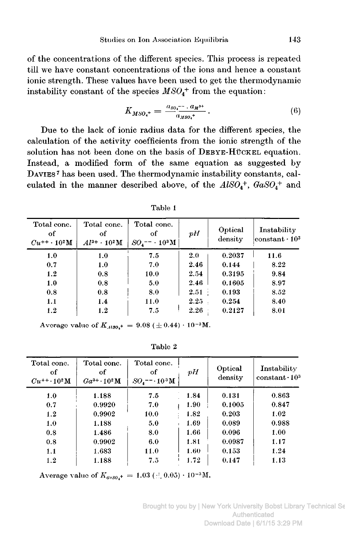of the concentrations of the different species. This process is repeated till we have constant concentrations of the ions and hence <sup>a</sup> constant ionic strength. These values have been used to get the thermodynamic instability constant of the species  $MSO<sub>4</sub><sup>+</sup>$  from the equation:

$$
K_{MSO_4^+} = \frac{a_{SO_4^{--}} \cdot a_{M^{3+}}}{a_{MSO_4^+}} \,. \tag{6}
$$

Due to the lack of ionic radius data for the different species, the calculation of the activity coefficients from the ionic strength of the solution has not been done on the basis of DEBYE-HÜCKEL equation. Instead, <sup>a</sup> modified form of the same equation as suggested by Davies <sup>7</sup> has been used. The thermodynamic instability constants, calculated in the manner described above, of the  $AISO<sub>4</sub><sup>+</sup>$ ,  $GaSO<sub>4</sub><sup>+</sup>$  and

| Total conc.<br>оf<br>$Cu^{++} \cdot 10^2$ M | Total conc.<br>of<br>$Al^{3+} \cdot 10^2 M$ | Total conc.<br>οf<br>$SO_4$ <sup>--</sup> $\cdot 10^3$ M | pH       | Optical<br>density | Instability<br>$\rm{constant}\cdot10^3$ |
|---------------------------------------------|---------------------------------------------|----------------------------------------------------------|----------|--------------------|-----------------------------------------|
| 1.0                                         | 1.0                                         | 7.5                                                      | 2.0      | 0.2037             | 11.6                                    |
| 0.7                                         | 1.0                                         | 7.0                                                      | 2.46     | 0.144              | 8.22                                    |
| 1.2                                         | 0.8                                         | 10.0                                                     | 2.54     | 0.3195             | 9.84                                    |
| 1.0                                         | 0.8                                         | 5.0                                                      | 2.46     | 0.1605             | 8.97                                    |
| 0.8                                         | 0.8                                         | 8.0                                                      | 2.51     | 0.193              | 8.52                                    |
| 1.1                                         | 1.4                                         | 11.0                                                     | $2.25$ . | 0.254              | 8.40                                    |
| 1.2                                         | 1.2                                         | 7.5                                                      | 2.26     | 0.2127             | 8.01                                    |

Table <sup>1</sup>

Average value of  $K_{Also_{4}} = 9.08 \ (\pm 0.44) \cdot 10^{-3}$ M.

Table 2

| Total conc.<br>оf<br>$Cu^{++} \cdot 10^{2} M$ | Total conc.<br>of<br>$Ga^{3+} \cdot 10^2 M$ | Total conc.<br>of<br>$SO_4$ -- $\cdot$ 10 <sup>3</sup> M | рH   | Optical<br>density | Instability<br>constant $\cdot 10^3$ |
|-----------------------------------------------|---------------------------------------------|----------------------------------------------------------|------|--------------------|--------------------------------------|
| 1.0                                           | 1.188                                       | 7.5                                                      | 1.84 | 0.131              | 0.863                                |
| 0.7                                           | 0.9920                                      | 7.0                                                      | 1.90 | 0.1005             | 0.847                                |
| 1.2                                           | 0.9902                                      | 10.0                                                     | 1.82 | 0.203              | 1.02                                 |
| 1.0                                           | 1.188                                       | 5.0                                                      | 1.69 | 0.089              | 0.988                                |
| 0.8                                           | 1.486                                       | 8.0                                                      | 1.66 | 0.096              | 1.00                                 |
| 0.8                                           | 0.9902                                      | 6.0                                                      | 1.81 | 0.0987             | 1.17                                 |
| 1.1                                           | 1.683                                       | 11.0                                                     | 1.60 | 0.153              | 1.24                                 |
| 1.2                                           | 1.188                                       | 7.5                                                      | 1.72 | 0.147              | 1.13                                 |

Average value of  $K_{gas0}$ + = 1.03 ( $\pm$  0.05) · 10<sup>-3</sup>M.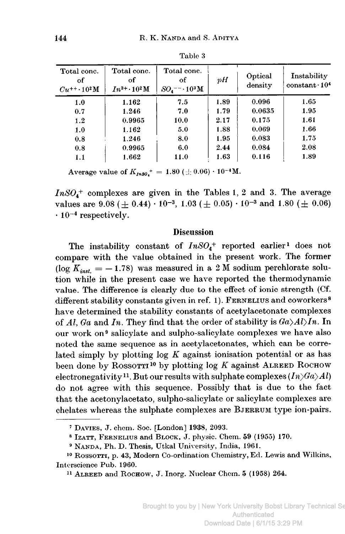| Total conc.<br>of<br>$Cu^{++} \cdot 10^{2} M$ | Total conc.<br>of<br>$In^{3+} \cdot 10^2 M$ | Total conc.<br>оf<br>$SO_4$ <sup>--</sup> $\cdot$ 10 <sup>3</sup> M | pH   | Optical<br>density | Instability<br>$constant \cdot 104$ |
|-----------------------------------------------|---------------------------------------------|---------------------------------------------------------------------|------|--------------------|-------------------------------------|
| 1.0                                           | 1.162                                       | 7.5                                                                 | 1.89 | 0.096              | 1.65                                |
| 0.7                                           | 1.246                                       | 7.0                                                                 | 1.79 | 0.0635             | 1.95                                |
| 1.2                                           | 0.9965                                      | 10.0                                                                | 2.17 | 0.175              | 1.61                                |
| 1.0                                           | 1.162                                       | 5.0                                                                 | 1.88 | 0.069              | 1.66                                |
| 0.8                                           | 1.246                                       | 8.0                                                                 | 1.95 | 0.083              | 1.75                                |
| 0.8                                           | 0.9965                                      | 6.0                                                                 | 2.44 | 0.084              | 2.08                                |
| 1.1                                           | 1.662                                       | 11.0                                                                | 1.63 | 0.116              | 1.89                                |

Table 3

Average value of  $K_{\mu s0}$ <sup>+</sup> = 1.80 ( $\pm$  0.06) · 10<sup>-4</sup>M.

 $InSO_4^+$  complexes are given in the Tables 1, 2 and 3. The average values are 9.08 ( $\pm$  0.44) · 10<sup>-3</sup>, 1.03 ( $\pm$  0.05) · 10<sup>-3</sup> and 1.80 ( $\pm$  0.06)  $\cdot 10^{-4}$  respectively.

### **Discussion**

The instability constant of  $InSO_4^+$  reported earlier<sup>1</sup> does not compare with the value obtained in the present work. The former (log  $K_{inst.} = -1.78$ ) was measured in a 2 M sodium perchlorate solution while in the present case we have reported the thermodynamic value. The difference is clearly due to the effect of ionic strength (Cf. different stability constants given in ref. 1). FERNELIUS and coworkers<sup>8</sup> have determined the stability constants of acetylacetonate complexes of Al, Ga and In. They find that the order of stability is  $Ga \geq Al$ )In. In our work on<sup>9</sup> salicylate and sulpho-salicylate complexes we have also noted the same sequence as in acetylacetonates, which can be correlated simply by plotting  $log K$  against ionisation potential or as has been done by ROSSOTTI<sup>10</sup> by plotting log  $K$  against ALREED ROCHOW electronegativity<sup>11</sup>. But our results with sulphate complexes  $(In \rangle Ga \rangle Al)$ do not agree with this sequence. Possibly that is due to the fact that the acetonylacetato, sulpho-salicylate or salicylate complexes are chelates whereas the sulphate complexes are BJERRUM type ion-pairs.

<sup>&</sup>lt;sup>7</sup> DAVIES, J. chem. Soc. [London] 1938, 2093.

<sup>&</sup>lt;sup>8</sup> IZATT, FERNELIUS and BLOCK, J. physic. Chem. 59 (1955) 170.

<sup>&</sup>lt;sup>9</sup> NANDA, Ph. D. Thesis, Utkal University, India, 1961.

<sup>&</sup>lt;sup>10</sup> ROSSOTTI, p. 43, Modern Co-ordination Chemistry, Ed. Lewis and Wilkins, Interscience Pub. 1960.

<sup>&</sup>lt;sup>11</sup> ALREED and ROCHOW, J. Inorg. Nuclear Chem. 5 (1958) 264.